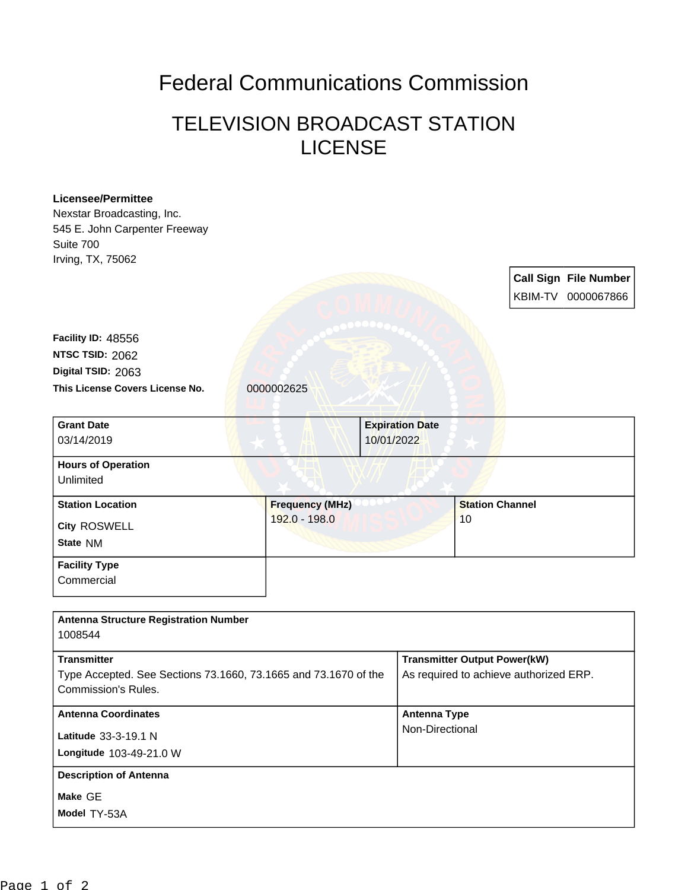## Federal Communications Commission

## TELEVISION BROADCAST STATION LICENSE

| <b>Licensee/Permittee</b>                                       |                        |                        |                                        |  |                              |
|-----------------------------------------------------------------|------------------------|------------------------|----------------------------------------|--|------------------------------|
| Nexstar Broadcasting, Inc.                                      |                        |                        |                                        |  |                              |
| 545 E. John Carpenter Freeway                                   |                        |                        |                                        |  |                              |
| Suite 700                                                       |                        |                        |                                        |  |                              |
| Irving, TX, 75062                                               |                        |                        |                                        |  |                              |
|                                                                 |                        |                        |                                        |  | <b>Call Sign File Number</b> |
|                                                                 |                        |                        |                                        |  | KBIM-TV 0000067866           |
|                                                                 |                        |                        |                                        |  |                              |
| Facility ID: 48556                                              |                        |                        |                                        |  |                              |
| NTSC TSID: 2062                                                 |                        |                        |                                        |  |                              |
| Digital TSID: 2063                                              |                        |                        |                                        |  |                              |
| This License Covers License No.                                 | 0000002625             |                        |                                        |  |                              |
|                                                                 |                        |                        |                                        |  |                              |
| <b>Grant Date</b>                                               |                        | <b>Expiration Date</b> |                                        |  |                              |
| 03/14/2019                                                      |                        | 10/01/2022             |                                        |  |                              |
|                                                                 |                        |                        |                                        |  |                              |
| <b>Hours of Operation</b><br>Unlimited                          |                        |                        |                                        |  |                              |
|                                                                 |                        |                        |                                        |  |                              |
| <b>Station Location</b>                                         | <b>Frequency (MHz)</b> |                        | <b>Station Channel</b>                 |  |                              |
| City ROSWELL                                                    | 192.0 - 198.0          |                        | 10                                     |  |                              |
| State NM                                                        |                        |                        |                                        |  |                              |
| <b>Facility Type</b>                                            |                        |                        |                                        |  |                              |
| Commercial                                                      |                        |                        |                                        |  |                              |
|                                                                 |                        |                        |                                        |  |                              |
|                                                                 |                        |                        |                                        |  |                              |
| <b>Antenna Structure Registration Number</b>                    |                        |                        |                                        |  |                              |
| 1008544                                                         |                        |                        |                                        |  |                              |
| <b>Transmitter</b>                                              |                        |                        | <b>Transmitter Output Power(kW)</b>    |  |                              |
| Type Accepted. See Sections 73.1660, 73.1665 and 73.1670 of the |                        |                        | As required to achieve authorized ERP. |  |                              |
| <b>Commission's Rules.</b>                                      |                        |                        |                                        |  |                              |
| <b>Antenna Coordinates</b>                                      |                        | <b>Antenna Type</b>    |                                        |  |                              |
|                                                                 |                        |                        | Non-Directional                        |  |                              |
| Latitude 33-3-19.1 N                                            |                        |                        |                                        |  |                              |
| Longitude 103-49-21.0 W                                         |                        |                        |                                        |  |                              |
| <b>Description of Antenna</b>                                   |                        |                        |                                        |  |                              |
| Make GE                                                         |                        |                        |                                        |  |                              |
| Model TY-53A                                                    |                        |                        |                                        |  |                              |
|                                                                 |                        |                        |                                        |  |                              |